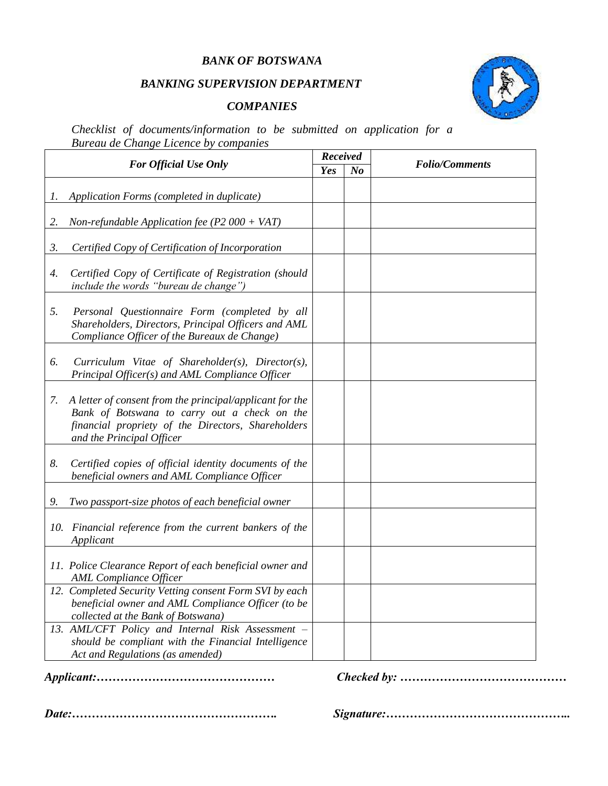#### *BANK OF BOTSWANA*

# *BANKING SUPERVISION DEPARTMENT*

### *COMPANIES*



*Checklist of documents/information to be submitted on application for a Bureau de Change Licence by companies*

|                              |                                                                                                                                                                                             |     | <b>Received</b> |                       |
|------------------------------|---------------------------------------------------------------------------------------------------------------------------------------------------------------------------------------------|-----|-----------------|-----------------------|
| <b>For Official Use Only</b> |                                                                                                                                                                                             | Yes | $\mathbf{N}$ o  | <b>Folio/Comments</b> |
| Ι.                           | Application Forms (completed in duplicate)                                                                                                                                                  |     |                 |                       |
| 2.                           | Non-refundable Application fee (P2 000 + VAT)                                                                                                                                               |     |                 |                       |
| 3.                           | Certified Copy of Certification of Incorporation                                                                                                                                            |     |                 |                       |
| 4.                           | Certified Copy of Certificate of Registration (should<br>include the words "bureau de change")                                                                                              |     |                 |                       |
| 5.                           | Personal Questionnaire Form (completed by all<br>Shareholders, Directors, Principal Officers and AML<br>Compliance Officer of the Bureaux de Change)                                        |     |                 |                       |
| 6.                           | Curriculum Vitae of Shareholder(s), Director(s),<br>Principal Officer(s) and AML Compliance Officer                                                                                         |     |                 |                       |
| 7.                           | A letter of consent from the principal/applicant for the<br>Bank of Botswana to carry out a check on the<br>financial propriety of the Directors, Shareholders<br>and the Principal Officer |     |                 |                       |
| 8.                           | Certified copies of official identity documents of the<br>beneficial owners and AML Compliance Officer                                                                                      |     |                 |                       |
| 9.                           | Two passport-size photos of each beneficial owner                                                                                                                                           |     |                 |                       |
|                              | 10. Financial reference from the current bankers of the<br>Applicant                                                                                                                        |     |                 |                       |
|                              | 11. Police Clearance Report of each beneficial owner and<br><b>AML</b> Compliance Officer                                                                                                   |     |                 |                       |
|                              | 12. Completed Security Vetting consent Form SVI by each<br>beneficial owner and AML Compliance Officer (to be<br>collected at the Bank of Botswana)                                         |     |                 |                       |
|                              | 13. AML/CFT Policy and Internal Risk Assessment -<br>should be compliant with the Financial Intelligence<br>Act and Regulations (as amended)                                                |     |                 |                       |

*Applicant:……………………………………… Checked by: ……………………………………*

*Date:……………………………………………. Signature:………………………………………..*